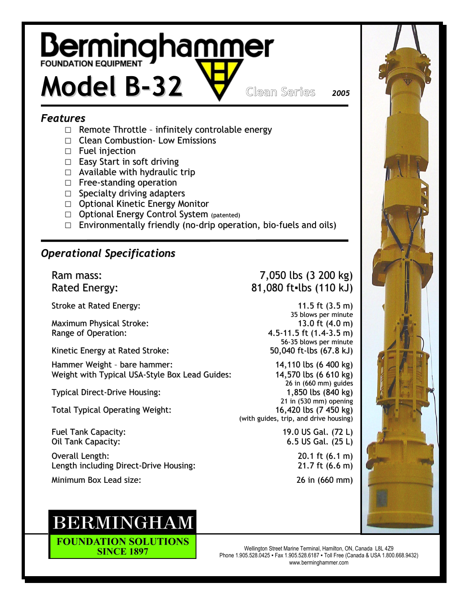# **Berminghammer**

## Model B-32 Clean Series <sup>2005</sup>

#### Features

- $\Box$  Remote Throttle infinitely controlable energy
- □ Clean Combustion Low Emissions
- □ Fuel injection
- □ Easy Start in soft driving
- $\Box$  Available with hydraulic trip
- □ Free-standing operation
- □ Specialty driving adapters
- □ Optional Kinetic Energy Monitor
- □ Optional Energy Control System (patented)
- $\square$  Environmentally friendly (no-drip operation, bio-fuels and oils)

#### Operational Specifications

Stroke at Rated Energy:  $(3.5 \text{ m})$ 

Maximum Physical Stroke: 13.0 ft (4.0 m) Range of Operation: 4.5-11.5 ft (1.4-3.5 m)

Kinetic Energy at Rated Stroke: 50,040 ft-lbs (67.8 kJ)

Hammer Weight - bare hammer: 14,110 lbs (6 400 kg) Weight with Typical USA-Style Box Lead Guides: 14,570 lbs (6 610 kg)

Total Typical Operating Weight: 16,420 lbs (7 450 kg)

Fuel Tank Capacity: 19.0 US Gal. (72 L) Oil Tank Capacity: 6.5 US Gal. (25 L)

Overall Length: 20.1 ft (6.1 m) Length including Direct-Drive Housing: 21.7 ft (6.6 m)

Minimum Box Lead size: 26 in (660 mm)

### **BERMINGHAM**

**FOUNDATION SOLUTIONS SINCE 1897** 

#### Ram mass: 7,050 lbs (3 200 kg) Rated Energy: 81,080 ft=lbs (110 kJ)

35 blows per minute 56-35 blows per minute

26 in (660 mm) guides Typical Direct-Drive Housing: 1,850 lbs (840 kg) 21 in (530 mm) opening (with guides, trip, and drive housing)



Wellington Street Marine Terminal, Hamilton, ON, Canada L8L 4Z9 Phone 1.905.528.0425 ▪ Fax 1.905.528.6187 ▪ Toll Free (Canada & USA 1.800.668.9432) www.berminghammer.com